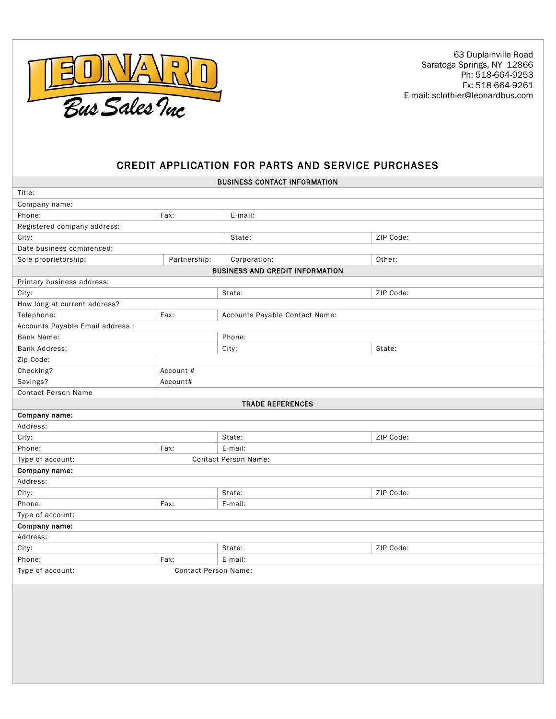

 63 Duplainville Road Saratoga Springs, NY 12866 Ph: 518-664-9253 Fx: 518-664-9261 E-mail: sclothier@leonardbus.com

## CREDIT APPLICATION FOR PARTS AND SERVICE PURCHASES

|                                                 |                             | <b>BUSINESS CONTACT INFORMATION</b> |  |           |  |
|-------------------------------------------------|-----------------------------|-------------------------------------|--|-----------|--|
| Title:                                          |                             |                                     |  |           |  |
| Company name:                                   |                             |                                     |  |           |  |
| Phone:                                          | Fax:                        | E-mail:                             |  |           |  |
| Registered company address:                     |                             |                                     |  |           |  |
| City:                                           |                             | State:                              |  | ZIP Code: |  |
| Date business commenced:                        |                             |                                     |  |           |  |
| Sole proprietorship:                            | Partnership:                | Corporation:                        |  | Other:    |  |
| <b>BUSINESS AND CREDIT INFORMATION</b>          |                             |                                     |  |           |  |
| Primary business address:                       |                             |                                     |  |           |  |
| City:                                           |                             | State:                              |  | ZIP Code: |  |
| How long at current address?                    |                             |                                     |  |           |  |
| Telephone:                                      | Fax:                        | Accounts Payable Contact Name:      |  |           |  |
| Accounts Payable Email address :                |                             |                                     |  |           |  |
| Bank Name:                                      |                             | Phone:                              |  |           |  |
| <b>Bank Address:</b>                            |                             | City:                               |  | State:    |  |
| Zip Code:                                       |                             |                                     |  |           |  |
| Checking?                                       | Account #                   |                                     |  |           |  |
| Savings?                                        | Account#                    |                                     |  |           |  |
| <b>Contact Person Name</b>                      |                             |                                     |  |           |  |
| <b>TRADE REFERENCES</b>                         |                             |                                     |  |           |  |
| Company name:                                   |                             |                                     |  |           |  |
| Address:                                        |                             |                                     |  |           |  |
| City:                                           |                             | State:                              |  | ZIP Code: |  |
| Phone:                                          | Fax:                        | E-mail:                             |  |           |  |
| Type of account:<br><b>Contact Person Name:</b> |                             |                                     |  |           |  |
| Company name:                                   |                             |                                     |  |           |  |
| Address:                                        |                             |                                     |  |           |  |
| City:                                           |                             | State:                              |  | ZIP Code: |  |
| Phone:                                          | Fax:                        | E-mail:                             |  |           |  |
| Type of account:                                |                             |                                     |  |           |  |
| Company name:                                   |                             |                                     |  |           |  |
| Address:                                        |                             |                                     |  |           |  |
| City:                                           |                             | State:                              |  | ZIP Code: |  |
| Phone:                                          | Fax:                        | E-mail:                             |  |           |  |
| Type of account:                                | <b>Contact Person Name:</b> |                                     |  |           |  |
|                                                 |                             |                                     |  |           |  |